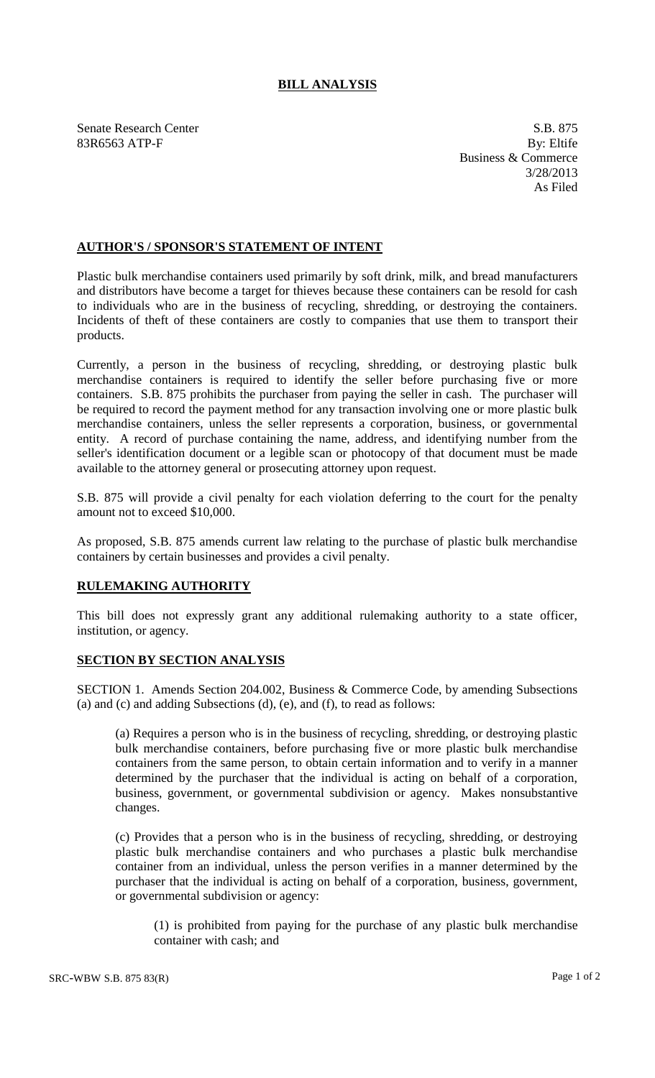## **BILL ANALYSIS**

Senate Research Center S.B. 875 83R6563 ATP-F By: Eltife

Business & Commerce 3/28/2013 As Filed

## **AUTHOR'S / SPONSOR'S STATEMENT OF INTENT**

Plastic bulk merchandise containers used primarily by soft drink, milk, and bread manufacturers and distributors have become a target for thieves because these containers can be resold for cash to individuals who are in the business of recycling, shredding, or destroying the containers. Incidents of theft of these containers are costly to companies that use them to transport their products.

Currently, a person in the business of recycling, shredding, or destroying plastic bulk merchandise containers is required to identify the seller before purchasing five or more containers. S.B. 875 prohibits the purchaser from paying the seller in cash. The purchaser will be required to record the payment method for any transaction involving one or more plastic bulk merchandise containers, unless the seller represents a corporation, business, or governmental entity. A record of purchase containing the name, address, and identifying number from the seller's identification document or a legible scan or photocopy of that document must be made available to the attorney general or prosecuting attorney upon request.

S.B. 875 will provide a civil penalty for each violation deferring to the court for the penalty amount not to exceed \$10,000.

As proposed, S.B. 875 amends current law relating to the purchase of plastic bulk merchandise containers by certain businesses and provides a civil penalty.

## **RULEMAKING AUTHORITY**

This bill does not expressly grant any additional rulemaking authority to a state officer, institution, or agency.

## **SECTION BY SECTION ANALYSIS**

SECTION 1. Amends Section 204.002, Business & Commerce Code, by amending Subsections (a) and (c) and adding Subsections (d), (e), and (f), to read as follows:

(a) Requires a person who is in the business of recycling, shredding, or destroying plastic bulk merchandise containers, before purchasing five or more plastic bulk merchandise containers from the same person, to obtain certain information and to verify in a manner determined by the purchaser that the individual is acting on behalf of a corporation, business, government, or governmental subdivision or agency. Makes nonsubstantive changes.

(c) Provides that a person who is in the business of recycling, shredding, or destroying plastic bulk merchandise containers and who purchases a plastic bulk merchandise container from an individual, unless the person verifies in a manner determined by the purchaser that the individual is acting on behalf of a corporation, business, government, or governmental subdivision or agency:

(1) is prohibited from paying for the purchase of any plastic bulk merchandise container with cash; and